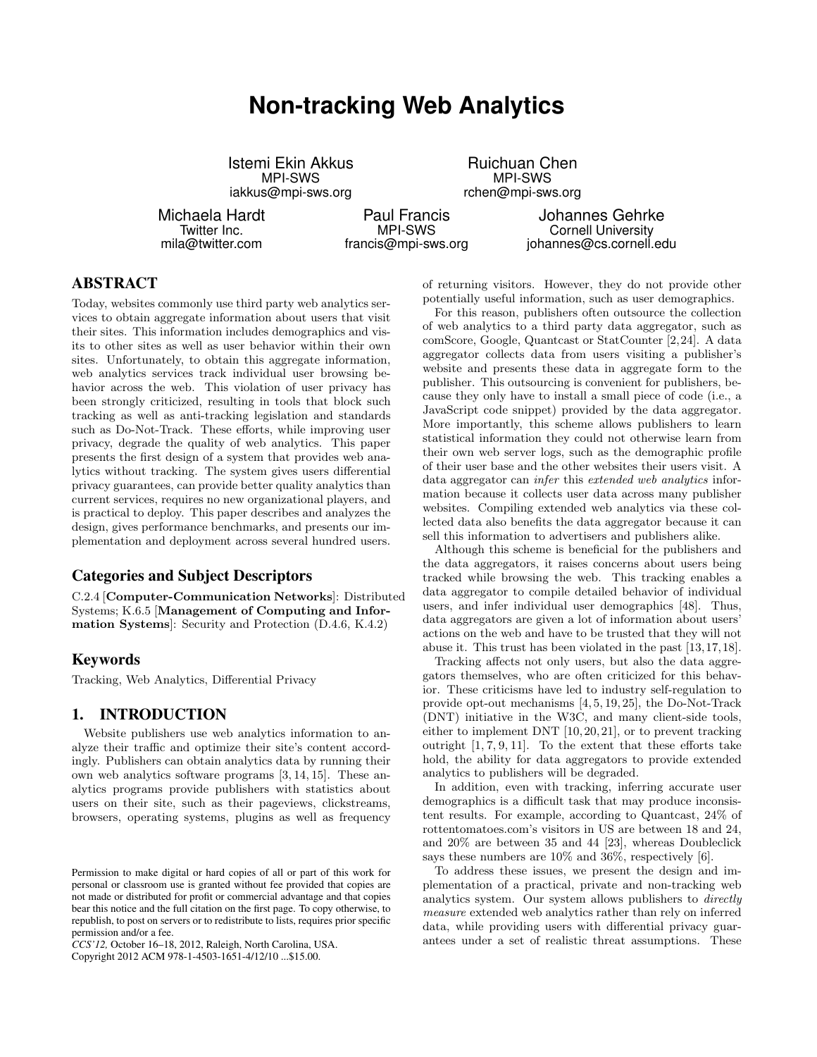# **Non-tracking Web Analytics**

Istemi Ekin Akkus MPI-SWS iakkus@mpi-sws.org

Michaela Hardt Twitter Inc. mila@twitter.com

Paul Francis MPI-SWS francis@mpi-sws.org

Johannes Gehrke Cornell University johannes@cs.cornell.edu

# ABSTRACT

Today, websites commonly use third party web analytics services to obtain aggregate information about users that visit their sites. This information includes demographics and visits to other sites as well as user behavior within their own sites. Unfortunately, to obtain this aggregate information, web analytics services track individual user browsing behavior across the web. This violation of user privacy has been strongly criticized, resulting in tools that block such tracking as well as anti-tracking legislation and standards such as Do-Not-Track. These efforts, while improving user privacy, degrade the quality of web analytics. This paper presents the first design of a system that provides web analytics without tracking. The system gives users differential privacy guarantees, can provide better quality analytics than current services, requires no new organizational players, and is practical to deploy. This paper describes and analyzes the design, gives performance benchmarks, and presents our implementation and deployment across several hundred users.

## Categories and Subject Descriptors

C.2.4 [Computer-Communication Networks]: Distributed Systems; K.6.5 [Management of Computing and Information Systems]: Security and Protection (D.4.6, K.4.2)

## Keywords

Tracking, Web Analytics, Differential Privacy

## 1. INTRODUCTION

Website publishers use web analytics information to analyze their traffic and optimize their site's content accordingly. Publishers can obtain analytics data by running their own web analytics software programs [3, 14, 15]. These analytics programs provide publishers with statistics about users on their site, such as their pageviews, clickstreams, browsers, operating systems, plugins as well as frequency

*CCS'12,* October 16–18, 2012, Raleigh, North Carolina, USA.

Copyright 2012 ACM 978-1-4503-1651-4/12/10 ...\$15.00.

of returning visitors. However, they do not provide other potentially useful information, such as user demographics.

Ruichuan Chen MPI-SWS rchen@mpi-sws.org

For this reason, publishers often outsource the collection of web analytics to a third party data aggregator, such as comScore, Google, Quantcast or StatCounter [2,24]. A data aggregator collects data from users visiting a publisher's website and presents these data in aggregate form to the publisher. This outsourcing is convenient for publishers, because they only have to install a small piece of code (i.e., a JavaScript code snippet) provided by the data aggregator. More importantly, this scheme allows publishers to learn statistical information they could not otherwise learn from their own web server logs, such as the demographic profile of their user base and the other websites their users visit. A data aggregator can infer this extended web analytics information because it collects user data across many publisher websites. Compiling extended web analytics via these collected data also benefits the data aggregator because it can sell this information to advertisers and publishers alike.

Although this scheme is beneficial for the publishers and the data aggregators, it raises concerns about users being tracked while browsing the web. This tracking enables a data aggregator to compile detailed behavior of individual users, and infer individual user demographics [48]. Thus, data aggregators are given a lot of information about users' actions on the web and have to be trusted that they will not abuse it. This trust has been violated in the past [13,17,18].

Tracking affects not only users, but also the data aggregators themselves, who are often criticized for this behavior. These criticisms have led to industry self-regulation to provide opt-out mechanisms [4, 5, 19, 25], the Do-Not-Track (DNT) initiative in the W3C, and many client-side tools, either to implement DNT [10, 20, 21], or to prevent tracking outright [1, 7, 9, 11]. To the extent that these efforts take hold, the ability for data aggregators to provide extended analytics to publishers will be degraded.

In addition, even with tracking, inferring accurate user demographics is a difficult task that may produce inconsistent results. For example, according to Quantcast, 24% of rottentomatoes.com's visitors in US are between 18 and 24, and 20% are between 35 and 44 [23], whereas Doubleclick says these numbers are 10% and 36%, respectively [6].

To address these issues, we present the design and implementation of a practical, private and non-tracking web analytics system. Our system allows publishers to directly measure extended web analytics rather than rely on inferred data, while providing users with differential privacy guarantees under a set of realistic threat assumptions. These

Permission to make digital or hard copies of all or part of this work for personal or classroom use is granted without fee provided that copies are not made or distributed for profit or commercial advantage and that copies bear this notice and the full citation on the first page. To copy otherwise, to republish, to post on servers or to redistribute to lists, requires prior specific permission and/or a fee.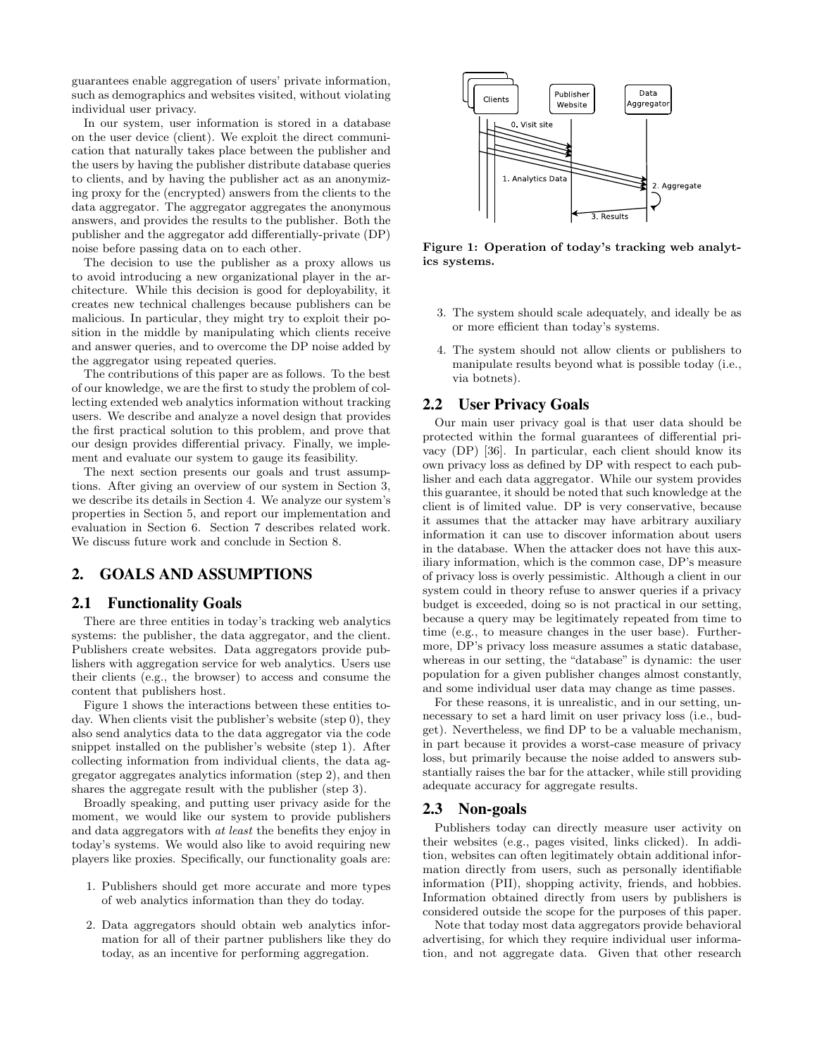guarantees enable aggregation of users' private information, such as demographics and websites visited, without violating individual user privacy.

In our system, user information is stored in a database on the user device (client). We exploit the direct communication that naturally takes place between the publisher and the users by having the publisher distribute database queries to clients, and by having the publisher act as an anonymizing proxy for the (encrypted) answers from the clients to the data aggregator. The aggregator aggregates the anonymous answers, and provides the results to the publisher. Both the publisher and the aggregator add differentially-private (DP) noise before passing data on to each other.

The decision to use the publisher as a proxy allows us to avoid introducing a new organizational player in the architecture. While this decision is good for deployability, it creates new technical challenges because publishers can be malicious. In particular, they might try to exploit their position in the middle by manipulating which clients receive and answer queries, and to overcome the DP noise added by the aggregator using repeated queries.

The contributions of this paper are as follows. To the best of our knowledge, we are the first to study the problem of collecting extended web analytics information without tracking users. We describe and analyze a novel design that provides the first practical solution to this problem, and prove that our design provides differential privacy. Finally, we implement and evaluate our system to gauge its feasibility.

The next section presents our goals and trust assumptions. After giving an overview of our system in Section 3, we describe its details in Section 4. We analyze our system's properties in Section 5, and report our implementation and evaluation in Section 6. Section 7 describes related work. We discuss future work and conclude in Section 8.

## 2. GOALS AND ASSUMPTIONS

#### 2.1 Functionality Goals

There are three entities in today's tracking web analytics systems: the publisher, the data aggregator, and the client. Publishers create websites. Data aggregators provide publishers with aggregation service for web analytics. Users use their clients (e.g., the browser) to access and consume the content that publishers host.

Figure 1 shows the interactions between these entities today. When clients visit the publisher's website (step 0), they also send analytics data to the data aggregator via the code snippet installed on the publisher's website (step 1). After collecting information from individual clients, the data aggregator aggregates analytics information (step 2), and then shares the aggregate result with the publisher (step 3).

Broadly speaking, and putting user privacy aside for the moment, we would like our system to provide publishers and data aggregators with at least the benefits they enjoy in today's systems. We would also like to avoid requiring new players like proxies. Specifically, our functionality goals are:

- 1. Publishers should get more accurate and more types of web analytics information than they do today.
- 2. Data aggregators should obtain web analytics information for all of their partner publishers like they do today, as an incentive for performing aggregation.



Figure 1: Operation of today's tracking web analytics systems.

- 3. The system should scale adequately, and ideally be as or more efficient than today's systems.
- 4. The system should not allow clients or publishers to manipulate results beyond what is possible today (i.e., via botnets).

## 2.2 User Privacy Goals

Our main user privacy goal is that user data should be protected within the formal guarantees of differential privacy (DP) [36]. In particular, each client should know its own privacy loss as defined by DP with respect to each publisher and each data aggregator. While our system provides this guarantee, it should be noted that such knowledge at the client is of limited value. DP is very conservative, because it assumes that the attacker may have arbitrary auxiliary information it can use to discover information about users in the database. When the attacker does not have this auxiliary information, which is the common case, DP's measure of privacy loss is overly pessimistic. Although a client in our system could in theory refuse to answer queries if a privacy budget is exceeded, doing so is not practical in our setting, because a query may be legitimately repeated from time to time (e.g., to measure changes in the user base). Furthermore, DP's privacy loss measure assumes a static database, whereas in our setting, the "database" is dynamic: the user population for a given publisher changes almost constantly, and some individual user data may change as time passes.

For these reasons, it is unrealistic, and in our setting, unnecessary to set a hard limit on user privacy loss (i.e., budget). Nevertheless, we find DP to be a valuable mechanism, in part because it provides a worst-case measure of privacy loss, but primarily because the noise added to answers substantially raises the bar for the attacker, while still providing adequate accuracy for aggregate results.

#### 2.3 Non-goals

Publishers today can directly measure user activity on their websites (e.g., pages visited, links clicked). In addition, websites can often legitimately obtain additional information directly from users, such as personally identifiable information (PII), shopping activity, friends, and hobbies. Information obtained directly from users by publishers is considered outside the scope for the purposes of this paper.

Note that today most data aggregators provide behavioral advertising, for which they require individual user information, and not aggregate data. Given that other research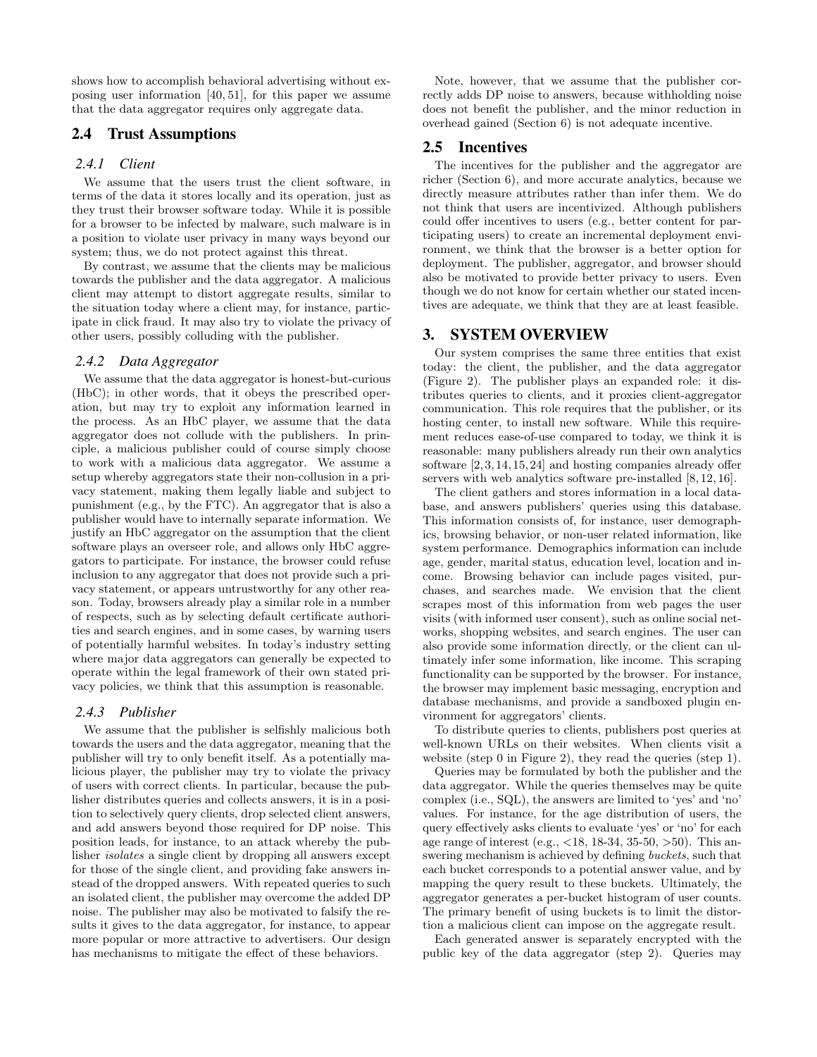shows how to accomplish behavioral advertising without exposing user information [40, 51], for this paper we assume that the data aggregator requires only aggregate data.

## 2.4 Trust Assumptions

#### *2.4.1 Client*

We assume that the users trust the client software, in terms of the data it stores locally and its operation, just as they trust their browser software today. While it is possible for a browser to be infected by malware, such malware is in a position to violate user privacy in many ways beyond our system; thus, we do not protect against this threat.

By contrast, we assume that the clients may be malicious towards the publisher and the data aggregator. A malicious client may attempt to distort aggregate results, similar to the situation today where a client may, for instance, participate in click fraud. It may also try to violate the privacy of other users, possibly colluding with the publisher.

#### *2.4.2 Data Aggregator*

We assume that the data aggregator is honest-but-curious (HbC); in other words, that it obeys the prescribed operation, but may try to exploit any information learned in the process. As an HbC player, we assume that the data aggregator does not collude with the publishers. In principle, a malicious publisher could of course simply choose to work with a malicious data aggregator. We assume a setup whereby aggregators state their non-collusion in a privacy statement, making them legally liable and subject to punishment (e.g., by the FTC). An aggregator that is also a publisher would have to internally separate information. We justify an HbC aggregator on the assumption that the client software plays an overseer role, and allows only HbC aggregators to participate. For instance, the browser could refuse inclusion to any aggregator that does not provide such a privacy statement, or appears untrustworthy for any other reason. Today, browsers already play a similar role in a number of respects, such as by selecting default certificate authorities and search engines, and in some cases, by warning users of potentially harmful websites. In today's industry setting where major data aggregators can generally be expected to operate within the legal framework of their own stated privacy policies, we think that this assumption is reasonable.

## *2.4.3 Publisher*

We assume that the publisher is selfishly malicious both towards the users and the data aggregator, meaning that the publisher will try to only benefit itself. As a potentially malicious player, the publisher may try to violate the privacy of users with correct clients. In particular, because the publisher distributes queries and collects answers, it is in a position to selectively query clients, drop selected client answers, and add answers beyond those required for DP noise. This position leads, for instance, to an attack whereby the publisher isolates a single client by dropping all answers except for those of the single client, and providing fake answers instead of the dropped answers. With repeated queries to such an isolated client, the publisher may overcome the added DP noise. The publisher may also be motivated to falsify the results it gives to the data aggregator, for instance, to appear more popular or more attractive to advertisers. Our design has mechanisms to mitigate the effect of these behaviors.

Note, however, that we assume that the publisher correctly adds DP noise to answers, because withholding noise does not benefit the publisher, and the minor reduction in overhead gained (Section 6) is not adequate incentive.

#### 2.5 Incentives

The incentives for the publisher and the aggregator are richer (Section 6), and more accurate analytics, because we directly measure attributes rather than infer them. We do not think that users are incentivized. Although publishers could offer incentives to users (e.g., better content for participating users) to create an incremental deployment environment, we think that the browser is a better option for deployment. The publisher, aggregator, and browser should also be motivated to provide better privacy to users. Even though we do not know for certain whether our stated incentives are adequate, we think that they are at least feasible.

## 3. SYSTEM OVERVIEW

Our system comprises the same three entities that exist today: the client, the publisher, and the data aggregator (Figure 2). The publisher plays an expanded role: it distributes queries to clients, and it proxies client-aggregator communication. This role requires that the publisher, or its hosting center, to install new software. While this requirement reduces ease-of-use compared to today, we think it is reasonable: many publishers already run their own analytics software [2, 3, 14, 15, 24] and hosting companies already offer servers with web analytics software pre-installed  $[8, 12, 16]$ .

The client gathers and stores information in a local database, and answers publishers' queries using this database. This information consists of, for instance, user demographics, browsing behavior, or non-user related information, like system performance. Demographics information can include age, gender, marital status, education level, location and income. Browsing behavior can include pages visited, purchases, and searches made. We envision that the client scrapes most of this information from web pages the user visits (with informed user consent), such as online social networks, shopping websites, and search engines. The user can also provide some information directly, or the client can ultimately infer some information, like income. This scraping functionality can be supported by the browser. For instance, the browser may implement basic messaging, encryption and database mechanisms, and provide a sandboxed plugin environment for aggregators' clients.

To distribute queries to clients, publishers post queries at well-known URLs on their websites. When clients visit a website (step 0 in Figure 2), they read the queries (step 1).

Queries may be formulated by both the publisher and the data aggregator. While the queries themselves may be quite complex (i.e., SQL), the answers are limited to 'yes' and 'no' values. For instance, for the age distribution of users, the query effectively asks clients to evaluate 'yes' or 'no' for each age range of interest (e.g.,  $\langle 18, 18-34, 35-50, \rangle$ ). This answering mechanism is achieved by defining buckets, such that each bucket corresponds to a potential answer value, and by mapping the query result to these buckets. Ultimately, the aggregator generates a per-bucket histogram of user counts. The primary benefit of using buckets is to limit the distortion a malicious client can impose on the aggregate result.

Each generated answer is separately encrypted with the public key of the data aggregator (step 2). Queries may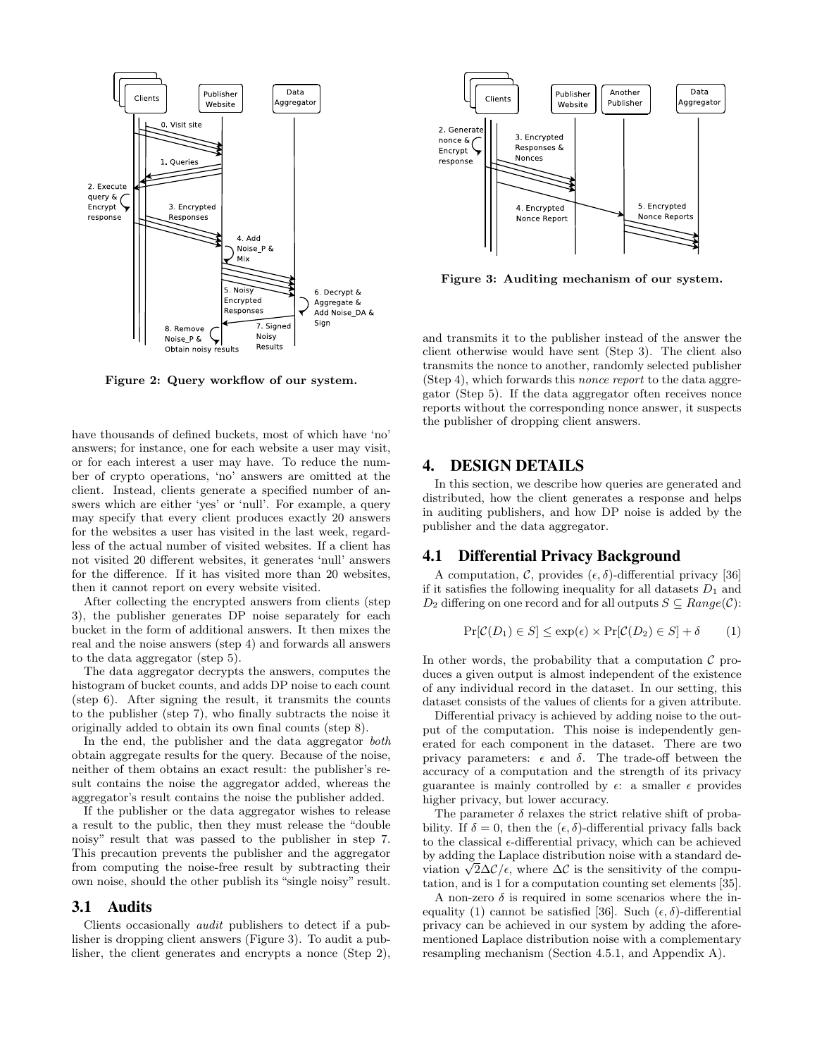

Figure 2: Query workflow of our system.

have thousands of defined buckets, most of which have 'no' answers; for instance, one for each website a user may visit, or for each interest a user may have. To reduce the number of crypto operations, 'no' answers are omitted at the client. Instead, clients generate a specified number of answers which are either 'yes' or 'null'. For example, a query may specify that every client produces exactly 20 answers for the websites a user has visited in the last week, regardless of the actual number of visited websites. If a client has not visited 20 different websites, it generates 'null' answers for the difference. If it has visited more than 20 websites, then it cannot report on every website visited.

After collecting the encrypted answers from clients (step 3), the publisher generates DP noise separately for each bucket in the form of additional answers. It then mixes the real and the noise answers (step 4) and forwards all answers to the data aggregator (step 5).

The data aggregator decrypts the answers, computes the histogram of bucket counts, and adds DP noise to each count (step 6). After signing the result, it transmits the counts to the publisher (step 7), who finally subtracts the noise it originally added to obtain its own final counts (step 8).

In the end, the publisher and the data aggregator both obtain aggregate results for the query. Because of the noise, neither of them obtains an exact result: the publisher's result contains the noise the aggregator added, whereas the aggregator's result contains the noise the publisher added.

If the publisher or the data aggregator wishes to release a result to the public, then they must release the "double noisy" result that was passed to the publisher in step 7. This precaution prevents the publisher and the aggregator from computing the noise-free result by subtracting their own noise, should the other publish its "single noisy" result.

## 3.1 Audits

Clients occasionally audit publishers to detect if a publisher is dropping client answers (Figure 3). To audit a publisher, the client generates and encrypts a nonce (Step 2),



Figure 3: Auditing mechanism of our system.

and transmits it to the publisher instead of the answer the client otherwise would have sent (Step 3). The client also transmits the nonce to another, randomly selected publisher (Step 4), which forwards this nonce report to the data aggregator (Step 5). If the data aggregator often receives nonce reports without the corresponding nonce answer, it suspects the publisher of dropping client answers.

## 4. DESIGN DETAILS

In this section, we describe how queries are generated and distributed, how the client generates a response and helps in auditing publishers, and how DP noise is added by the publisher and the data aggregator.

## 4.1 Differential Privacy Background

A computation, C, provides  $(\epsilon, \delta)$ -differential privacy [36] if it satisfies the following inequality for all datasets  $D_1$  and  $D_2$  differing on one record and for all outputs  $S \subseteq Range(\mathcal{C})$ :

$$
\Pr[\mathcal{C}(D_1) \in S] \le \exp(\epsilon) \times \Pr[\mathcal{C}(D_2) \in S] + \delta \tag{1}
$$

In other words, the probability that a computation  $\mathcal C$  produces a given output is almost independent of the existence of any individual record in the dataset. In our setting, this dataset consists of the values of clients for a given attribute.

Differential privacy is achieved by adding noise to the output of the computation. This noise is independently generated for each component in the dataset. There are two privacy parameters:  $\epsilon$  and  $\delta$ . The trade-off between the accuracy of a computation and the strength of its privacy guarantee is mainly controlled by  $\epsilon$ : a smaller  $\epsilon$  provides higher privacy, but lower accuracy.

The parameter  $\delta$  relaxes the strict relative shift of probability. If  $\delta = 0$ , then the  $(\epsilon, \delta)$ -differential privacy falls back to the classical  $\epsilon$ -differential privacy, which can be achieved by adding the Laplace distribution noise with a standard deby adding the Laplace distribution noise with a standard deviation  $\sqrt{2}\Delta\mathcal{C}/\epsilon$ , where  $\Delta\mathcal{C}$  is the sensitivity of the computation, and is 1 for a computation counting set elements [35].

A non-zero  $\delta$  is required in some scenarios where the inequality (1) cannot be satisfied [36]. Such  $(\epsilon, \delta)$ -differential privacy can be achieved in our system by adding the aforementioned Laplace distribution noise with a complementary resampling mechanism (Section 4.5.1, and Appendix A).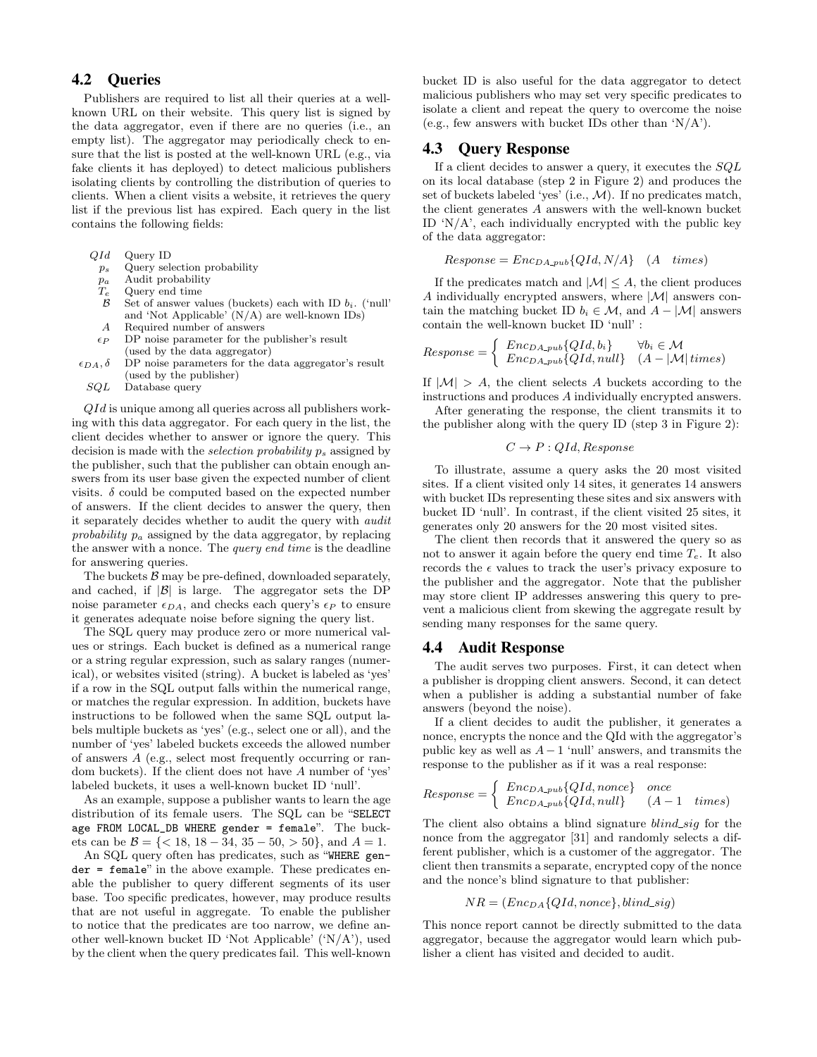## 4.2 Queries

Publishers are required to list all their queries at a wellknown URL on their website. This query list is signed by the data aggregator, even if there are no queries (i.e., an empty list). The aggregator may periodically check to ensure that the list is posted at the well-known URL (e.g., via fake clients it has deployed) to detect malicious publishers isolating clients by controlling the distribution of queries to clients. When a client visits a website, it retrieves the query list if the previous list has expired. Each query in the list contains the following fields:

- QId Query ID
	- ps Query selection probability
- $p_a$  Audit probability<br>  $T_e$  Query end time
- $T_e$  Query end time<br>  $\beta$  Set of answer va
- Set of answer values (buckets) each with ID  $b_i$ . ('null' and 'Not Applicable' (N/A) are well-known IDs)
- A Required number of answers
- $\epsilon_P$  DP noise parameter for the publisher's result (used by the data aggregator)
- $\epsilon_{DA}, \delta$  DP noise parameters for the data aggregator's result (used by the publisher)
	- SQL Database query

 $QId$  is unique among all queries across all publishers working with this data aggregator. For each query in the list, the client decides whether to answer or ignore the query. This decision is made with the *selection probability*  $p_s$  assigned by the publisher, such that the publisher can obtain enough answers from its user base given the expected number of client visits.  $\delta$  could be computed based on the expected number of answers. If the client decides to answer the query, then it separately decides whether to audit the query with audit probability  $p_a$  assigned by the data aggregator, by replacing the answer with a nonce. The query end time is the deadline for answering queries.

The buckets  $\beta$  may be pre-defined, downloaded separately, and cached, if  $|\mathcal{B}|$  is large. The aggregator sets the DP noise parameter  $\epsilon_{DA}$ , and checks each query's  $\epsilon_P$  to ensure it generates adequate noise before signing the query list.

The SQL query may produce zero or more numerical values or strings. Each bucket is defined as a numerical range or a string regular expression, such as salary ranges (numerical), or websites visited (string). A bucket is labeled as 'yes' if a row in the SQL output falls within the numerical range, or matches the regular expression. In addition, buckets have instructions to be followed when the same SQL output labels multiple buckets as 'yes' (e.g., select one or all), and the number of 'yes' labeled buckets exceeds the allowed number of answers A (e.g., select most frequently occurring or random buckets). If the client does not have A number of 'yes' labeled buckets, it uses a well-known bucket ID 'null'.

As an example, suppose a publisher wants to learn the age distribution of its female users. The SQL can be "SELECT age FROM LOCAL\_DB WHERE gender = female". The buckets can be  $\mathcal{B} = \{ < 18, 18 - 34, 35 - 50, > 50 \}$ , and  $A = 1$ .

An SQL query often has predicates, such as "WHERE gender = female" in the above example. These predicates enable the publisher to query different segments of its user base. Too specific predicates, however, may produce results that are not useful in aggregate. To enable the publisher to notice that the predicates are too narrow, we define another well-known bucket ID 'Not Applicable' ('N/A'), used by the client when the query predicates fail. This well-known bucket ID is also useful for the data aggregator to detect malicious publishers who may set very specific predicates to isolate a client and repeat the query to overcome the noise (e.g., few answers with bucket IDs other than  $'N/A'$ ).

#### 4.3 Query Response

If a client decides to answer a query, it executes the  $SQL$ on its local database (step 2 in Figure 2) and produces the set of buckets labeled 'yes' (i.e.,  $M$ ). If no predicates match, the client generates A answers with the well-known bucket ID 'N/A', each individually encrypted with the public key of the data aggregator:

 $Response = Enc_{DA\_pub}{QId, N/A}$  (A times)

If the predicates match and  $|\mathcal{M}| \leq A$ , the client produces A individually encrypted answers, where  $|\mathcal{M}|$  answers contain the matching bucket ID  $b_i \in \mathcal{M}$ , and  $A - |\mathcal{M}|$  answers contain the well-known bucket ID 'null' :

$$
Response = \begin{cases} Enc_{DA\_pub}\{QId, b_i\} & \forall b_i \in \mathcal{M} \\ Enc_{DA\_pub}\{QId, null\} & (A - |\mathcal{M}| \, times) \end{cases}
$$

If  $|M| > A$ , the client selects A buckets according to the instructions and produces A individually encrypted answers.

After generating the response, the client transmits it to the publisher along with the query ID (step 3 in Figure 2):

$$
C \rightarrow P : QId, Response
$$

To illustrate, assume a query asks the 20 most visited sites. If a client visited only 14 sites, it generates 14 answers with bucket IDs representing these sites and six answers with bucket ID 'null'. In contrast, if the client visited 25 sites, it generates only 20 answers for the 20 most visited sites.

The client then records that it answered the query so as not to answer it again before the query end time  $T_e$ . It also records the  $\epsilon$  values to track the user's privacy exposure to the publisher and the aggregator. Note that the publisher may store client IP addresses answering this query to prevent a malicious client from skewing the aggregate result by sending many responses for the same query.

#### 4.4 Audit Response

The audit serves two purposes. First, it can detect when a publisher is dropping client answers. Second, it can detect when a publisher is adding a substantial number of fake answers (beyond the noise).

If a client decides to audit the publisher, it generates a nonce, encrypts the nonce and the QId with the aggregator's public key as well as  $A - 1$  'null' answers, and transmits the response to the publisher as if it was a real response:

$$
Response = \left\{ \begin{array}{ll} Enc_{DA-pub} \{QId, nonce\} & once \\ Enc_{DA-pub} \{QId, null\} & (A-1 - times) \end{array} \right.
$$

The client also obtains a blind signature  $blind\_sig$  for the nonce from the aggregator [31] and randomly selects a different publisher, which is a customer of the aggregator. The client then transmits a separate, encrypted copy of the nonce and the nonce's blind signature to that publisher:

$$
NR = (Enc_{DA}{QId, nonce}, blind\_sig)
$$

This nonce report cannot be directly submitted to the data aggregator, because the aggregator would learn which publisher a client has visited and decided to audit.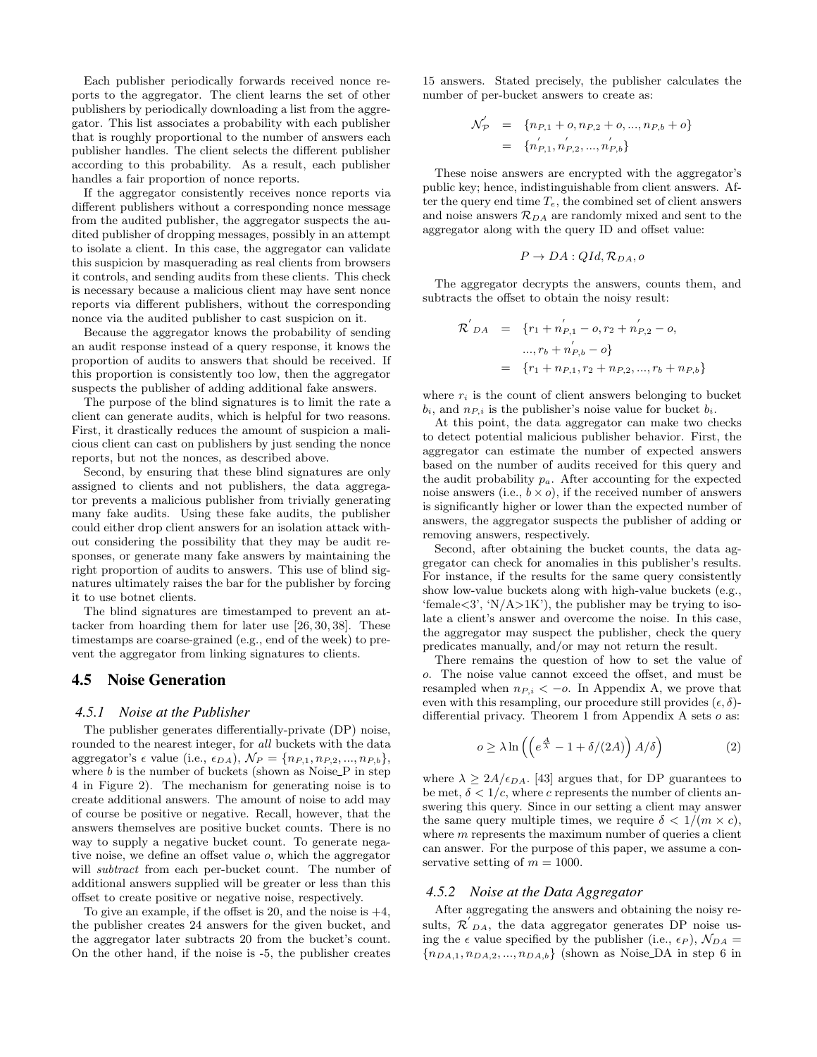Each publisher periodically forwards received nonce reports to the aggregator. The client learns the set of other publishers by periodically downloading a list from the aggregator. This list associates a probability with each publisher that is roughly proportional to the number of answers each publisher handles. The client selects the different publisher according to this probability. As a result, each publisher handles a fair proportion of nonce reports.

If the aggregator consistently receives nonce reports via different publishers without a corresponding nonce message from the audited publisher, the aggregator suspects the audited publisher of dropping messages, possibly in an attempt to isolate a client. In this case, the aggregator can validate this suspicion by masquerading as real clients from browsers it controls, and sending audits from these clients. This check is necessary because a malicious client may have sent nonce reports via different publishers, without the corresponding nonce via the audited publisher to cast suspicion on it.

Because the aggregator knows the probability of sending an audit response instead of a query response, it knows the proportion of audits to answers that should be received. If this proportion is consistently too low, then the aggregator suspects the publisher of adding additional fake answers.

The purpose of the blind signatures is to limit the rate a client can generate audits, which is helpful for two reasons. First, it drastically reduces the amount of suspicion a malicious client can cast on publishers by just sending the nonce reports, but not the nonces, as described above.

Second, by ensuring that these blind signatures are only assigned to clients and not publishers, the data aggregator prevents a malicious publisher from trivially generating many fake audits. Using these fake audits, the publisher could either drop client answers for an isolation attack without considering the possibility that they may be audit responses, or generate many fake answers by maintaining the right proportion of audits to answers. This use of blind signatures ultimately raises the bar for the publisher by forcing it to use botnet clients.

The blind signatures are timestamped to prevent an attacker from hoarding them for later use [26, 30, 38]. These timestamps are coarse-grained (e.g., end of the week) to prevent the aggregator from linking signatures to clients.

## 4.5 Noise Generation

#### *4.5.1 Noise at the Publisher*

The publisher generates differentially-private (DP) noise, rounded to the nearest integer, for all buckets with the data aggregator's  $\epsilon$  value (i.e.,  $\epsilon_{DA}$ ),  $\mathcal{N}_P = \{n_{P,1}, n_{P,2}, ..., n_{P,b}\},\$ where  $b$  is the number of buckets (shown as Noise $\Gamma$  in step 4 in Figure 2). The mechanism for generating noise is to create additional answers. The amount of noise to add may of course be positive or negative. Recall, however, that the answers themselves are positive bucket counts. There is no way to supply a negative bucket count. To generate negative noise, we define an offset value o, which the aggregator will *subtract* from each per-bucket count. The number of additional answers supplied will be greater or less than this offset to create positive or negative noise, respectively.

To give an example, if the offset is 20, and the noise is  $+4$ , the publisher creates 24 answers for the given bucket, and the aggregator later subtracts 20 from the bucket's count. On the other hand, if the noise is -5, the publisher creates

15 answers. Stated precisely, the publisher calculates the number of per-bucket answers to create as:

$$
\mathcal{N}_{\mathcal{P}}' = \{ n_{P,1} + o, n_{P,2} + o, ..., n_{P,b} + o \}
$$
  
= 
$$
\{ n'_{P,1}, n'_{P,2}, ..., n'_{P,b} \}
$$

These noise answers are encrypted with the aggregator's public key; hence, indistinguishable from client answers. After the query end time  $T_e$ , the combined set of client answers and noise answers  $\mathcal{R}_{DA}$  are randomly mixed and sent to the aggregator along with the query ID and offset value:

$$
P \to DA: QId, \mathcal{R}_{DA}, o
$$

The aggregator decrypts the answers, counts them, and subtracts the offset to obtain the noisy result:

$$
\mathcal{R}'_{DA} = \{r_1 + n'_{P,1} - o, r_2 + n'_{P,2} - o,
$$
  
...,  $r_b + n'_{P,b} - o\}$   
=  $\{r_1 + n_{P,1}, r_2 + n_{P,2}, ..., r_b + n_{P,b}\}$ 

where  $r_i$  is the count of client answers belonging to bucket  $b_i$ , and  $n_{P,i}$  is the publisher's noise value for bucket  $b_i$ .

At this point, the data aggregator can make two checks to detect potential malicious publisher behavior. First, the aggregator can estimate the number of expected answers based on the number of audits received for this query and the audit probability  $p_a$ . After accounting for the expected noise answers (i.e.,  $b \times o$ ), if the received number of answers is significantly higher or lower than the expected number of answers, the aggregator suspects the publisher of adding or removing answers, respectively.

Second, after obtaining the bucket counts, the data aggregator can check for anomalies in this publisher's results. For instance, if the results for the same query consistently show low-value buckets along with high-value buckets (e.g., 'female $\langle 3', 'N/A \rangle 1K'$ , the publisher may be trying to isolate a client's answer and overcome the noise. In this case, the aggregator may suspect the publisher, check the query predicates manually, and/or may not return the result.

There remains the question of how to set the value of o. The noise value cannot exceed the offset, and must be resampled when  $n_{P,i} < -o$ . In Appendix A, we prove that even with this resampling, our procedure still provides  $(\epsilon, \delta)$ differential privacy. Theorem 1 from Appendix A sets  $o$  as:

$$
o \ge \lambda \ln \left( \left( e^{\frac{A}{\lambda}} - 1 + \delta/(2A) \right) A/\delta \right) \tag{2}
$$

where  $\lambda \geq 2A/\epsilon_{DA}$ . [43] argues that, for DP guarantees to be met,  $\delta < 1/c$ , where c represents the number of clients answering this query. Since in our setting a client may answer the same query multiple times, we require  $\delta < 1/(m \times c)$ , where  $m$  represents the maximum number of queries a client can answer. For the purpose of this paper, we assume a conservative setting of  $m = 1000$ .

#### *4.5.2 Noise at the Data Aggregator*

After aggregating the answers and obtaining the noisy results,  $\mathcal{R}'_{DA}$ , the data aggregator generates DP noise using the  $\epsilon$  value specified by the publisher (i.e.,  $\epsilon_P$ ),  $\mathcal{N}_{DA} =$  ${n<sub>DA,1</sub>, n<sub>DA,2</sub>, ..., n<sub>DA,b</sub>}$  (shown as Noise DA in step 6 in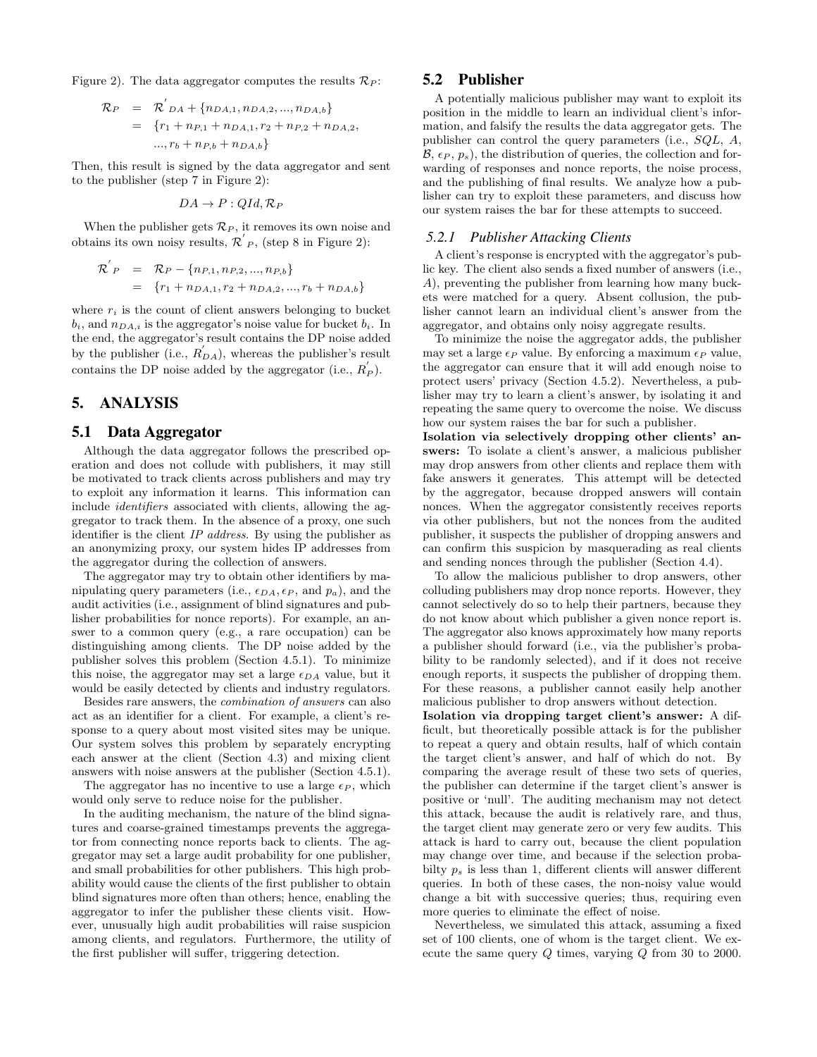Figure 2). The data aggregator computes the results  $\mathcal{R}_P$ :

$$
\mathcal{R}_P = \mathcal{R}'_{DA} + \{n_{DA,1}, n_{DA,2}, ..., n_{DA,b}\}
$$
  
= 
$$
\{r_1 + n_{P,1} + n_{DA,1}, r_2 + n_{P,2} + n_{DA,2},
$$
  

$$
..., r_b + n_{P,b} + n_{DA,b}\}
$$

Then, this result is signed by the data aggregator and sent to the publisher (step 7 in Figure 2):

$$
DA \to P: QId, \mathcal{R}_P
$$

When the publisher gets  $\mathcal{R}_P$ , it removes its own noise and obtains its own noisy results,  $\mathcal{R}'_P$ , (step 8 in Figure 2):

$$
\mathcal{R}^{'}_{P} = \mathcal{R}_{P} - \{n_{P,1}, n_{P,2}, ..., n_{P,b}\}
$$
  
=  $\{r_{1} + n_{DA,1}, r_{2} + n_{DA,2}, ..., r_{b} + n_{DA,b}\}$ 

where  $r_i$  is the count of client answers belonging to bucket  $b_i$ , and  $n_{DA,i}$  is the aggregator's noise value for bucket  $b_i$ . In the end, the aggregator's result contains the DP noise added by the publisher (i.e.,  $R'_{DA}$ ), whereas the publisher's result contains the DP noise added by the aggregator (i.e.,  $R'_{P}$ ).

## 5. ANALYSIS

#### 5.1 Data Aggregator

Although the data aggregator follows the prescribed operation and does not collude with publishers, it may still be motivated to track clients across publishers and may try to exploit any information it learns. This information can include identifiers associated with clients, allowing the aggregator to track them. In the absence of a proxy, one such identifier is the client IP address. By using the publisher as an anonymizing proxy, our system hides IP addresses from the aggregator during the collection of answers.

The aggregator may try to obtain other identifiers by manipulating query parameters (i.e.,  $\epsilon_{DA}, \epsilon_P$ , and  $p_a$ ), and the audit activities (i.e., assignment of blind signatures and publisher probabilities for nonce reports). For example, an answer to a common query (e.g., a rare occupation) can be distinguishing among clients. The DP noise added by the publisher solves this problem (Section 4.5.1). To minimize this noise, the aggregator may set a large  $\epsilon_{DA}$  value, but it would be easily detected by clients and industry regulators.

Besides rare answers, the combination of answers can also act as an identifier for a client. For example, a client's response to a query about most visited sites may be unique. Our system solves this problem by separately encrypting each answer at the client (Section 4.3) and mixing client answers with noise answers at the publisher (Section 4.5.1).

The aggregator has no incentive to use a large  $\epsilon_P$ , which would only serve to reduce noise for the publisher.

In the auditing mechanism, the nature of the blind signatures and coarse-grained timestamps prevents the aggregator from connecting nonce reports back to clients. The aggregator may set a large audit probability for one publisher, and small probabilities for other publishers. This high probability would cause the clients of the first publisher to obtain blind signatures more often than others; hence, enabling the aggregator to infer the publisher these clients visit. However, unusually high audit probabilities will raise suspicion among clients, and regulators. Furthermore, the utility of the first publisher will suffer, triggering detection.

## 5.2 Publisher

A potentially malicious publisher may want to exploit its position in the middle to learn an individual client's information, and falsify the results the data aggregator gets. The publisher can control the query parameters (i.e., SQL, A,  $\mathcal{B}, \epsilon_P, p_s$ , the distribution of queries, the collection and forwarding of responses and nonce reports, the noise process, and the publishing of final results. We analyze how a publisher can try to exploit these parameters, and discuss how our system raises the bar for these attempts to succeed.

#### *5.2.1 Publisher Attacking Clients*

A client's response is encrypted with the aggregator's public key. The client also sends a fixed number of answers (i.e., A), preventing the publisher from learning how many buckets were matched for a query. Absent collusion, the publisher cannot learn an individual client's answer from the aggregator, and obtains only noisy aggregate results.

To minimize the noise the aggregator adds, the publisher may set a large  $\epsilon_P$  value. By enforcing a maximum  $\epsilon_P$  value, the aggregator can ensure that it will add enough noise to protect users' privacy (Section 4.5.2). Nevertheless, a publisher may try to learn a client's answer, by isolating it and repeating the same query to overcome the noise. We discuss how our system raises the bar for such a publisher.

Isolation via selectively dropping other clients' answers: To isolate a client's answer, a malicious publisher may drop answers from other clients and replace them with fake answers it generates. This attempt will be detected by the aggregator, because dropped answers will contain nonces. When the aggregator consistently receives reports via other publishers, but not the nonces from the audited publisher, it suspects the publisher of dropping answers and can confirm this suspicion by masquerading as real clients and sending nonces through the publisher (Section 4.4).

To allow the malicious publisher to drop answers, other colluding publishers may drop nonce reports. However, they cannot selectively do so to help their partners, because they do not know about which publisher a given nonce report is. The aggregator also knows approximately how many reports a publisher should forward (i.e., via the publisher's probability to be randomly selected), and if it does not receive enough reports, it suspects the publisher of dropping them. For these reasons, a publisher cannot easily help another malicious publisher to drop answers without detection.

Isolation via dropping target client's answer: A difficult, but theoretically possible attack is for the publisher to repeat a query and obtain results, half of which contain the target client's answer, and half of which do not. By comparing the average result of these two sets of queries, the publisher can determine if the target client's answer is positive or 'null'. The auditing mechanism may not detect this attack, because the audit is relatively rare, and thus, the target client may generate zero or very few audits. This attack is hard to carry out, because the client population may change over time, and because if the selection probabilty  $p_s$  is less than 1, different clients will answer different queries. In both of these cases, the non-noisy value would change a bit with successive queries; thus, requiring even more queries to eliminate the effect of noise.

Nevertheless, we simulated this attack, assuming a fixed set of 100 clients, one of whom is the target client. We execute the same query Q times, varying Q from 30 to 2000.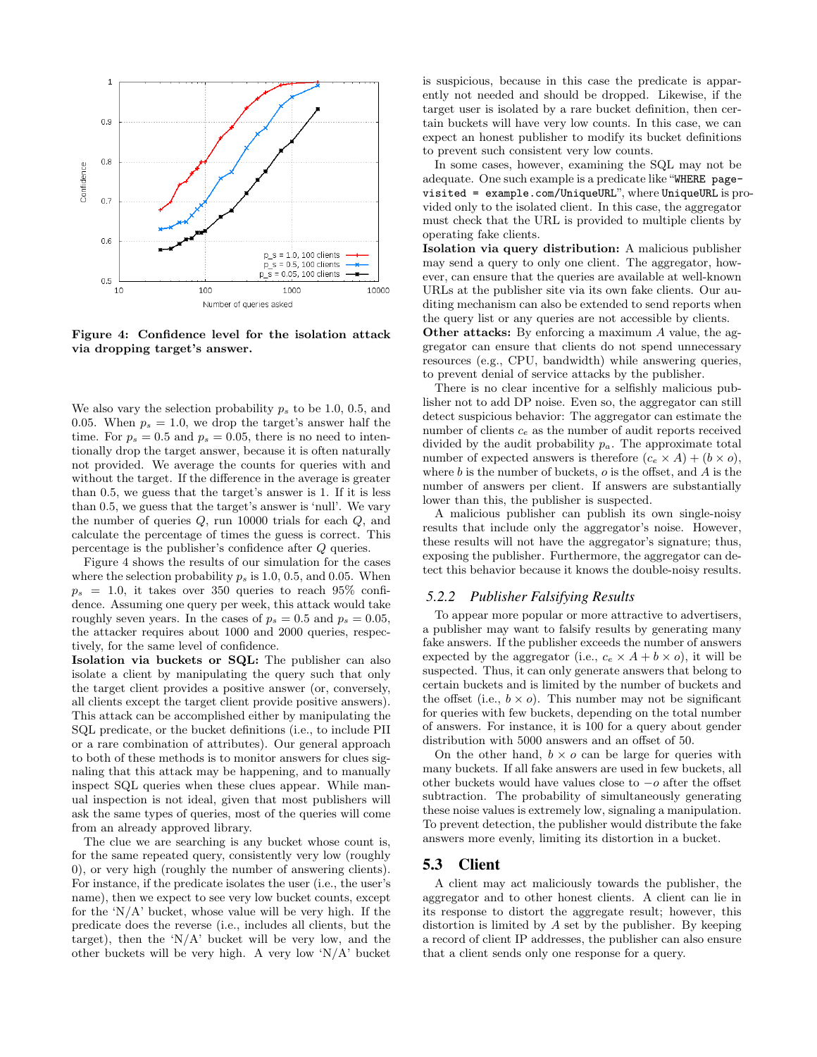

Figure 4: Confidence level for the isolation attack via dropping target's answer.

We also vary the selection probability  $p_s$  to be 1.0, 0.5, and 0.05. When  $p_s = 1.0$ , we drop the target's answer half the time. For  $p_s = 0.5$  and  $p_s = 0.05$ , there is no need to intentionally drop the target answer, because it is often naturally not provided. We average the counts for queries with and without the target. If the difference in the average is greater than 0.5, we guess that the target's answer is 1. If it is less than 0.5, we guess that the target's answer is 'null'. We vary the number of queries Q, run 10000 trials for each Q, and calculate the percentage of times the guess is correct. This percentage is the publisher's confidence after Q queries.

Figure 4 shows the results of our simulation for the cases where the selection probability  $p_s$  is 1.0, 0.5, and 0.05. When  $p_s = 1.0$ , it takes over 350 queries to reach 95\% confidence. Assuming one query per week, this attack would take roughly seven years. In the cases of  $p_s = 0.5$  and  $p_s = 0.05$ , the attacker requires about 1000 and 2000 queries, respectively, for the same level of confidence.

Isolation via buckets or SQL: The publisher can also isolate a client by manipulating the query such that only the target client provides a positive answer (or, conversely, all clients except the target client provide positive answers). This attack can be accomplished either by manipulating the SQL predicate, or the bucket definitions (i.e., to include PII or a rare combination of attributes). Our general approach to both of these methods is to monitor answers for clues signaling that this attack may be happening, and to manually inspect SQL queries when these clues appear. While manual inspection is not ideal, given that most publishers will ask the same types of queries, most of the queries will come from an already approved library.

The clue we are searching is any bucket whose count is, for the same repeated query, consistently very low (roughly 0), or very high (roughly the number of answering clients). For instance, if the predicate isolates the user (i.e., the user's name), then we expect to see very low bucket counts, except for the  $N/A$  bucket, whose value will be very high. If the predicate does the reverse (i.e., includes all clients, but the target), then the ' $N/A$ ' bucket will be very low, and the other buckets will be very high. A very low 'N/A' bucket is suspicious, because in this case the predicate is apparently not needed and should be dropped. Likewise, if the target user is isolated by a rare bucket definition, then certain buckets will have very low counts. In this case, we can expect an honest publisher to modify its bucket definitions to prevent such consistent very low counts.

In some cases, however, examining the SQL may not be adequate. One such example is a predicate like "WHERE pagevisited = example.com/UniqueURL", where UniqueURL is provided only to the isolated client. In this case, the aggregator must check that the URL is provided to multiple clients by operating fake clients.

Isolation via query distribution: A malicious publisher may send a query to only one client. The aggregator, however, can ensure that the queries are available at well-known URLs at the publisher site via its own fake clients. Our auditing mechanism can also be extended to send reports when the query list or any queries are not accessible by clients.

Other attacks: By enforcing a maximum A value, the aggregator can ensure that clients do not spend unnecessary resources (e.g., CPU, bandwidth) while answering queries, to prevent denial of service attacks by the publisher.

There is no clear incentive for a selfishly malicious publisher not to add DP noise. Even so, the aggregator can still detect suspicious behavior: The aggregator can estimate the number of clients  $c_e$  as the number of audit reports received divided by the audit probability  $p_a$ . The approximate total number of expected answers is therefore  $(c_e \times A) + (b \times o)$ , where  $b$  is the number of buckets,  $o$  is the offset, and  $A$  is the number of answers per client. If answers are substantially lower than this, the publisher is suspected.

A malicious publisher can publish its own single-noisy results that include only the aggregator's noise. However, these results will not have the aggregator's signature; thus, exposing the publisher. Furthermore, the aggregator can detect this behavior because it knows the double-noisy results.

#### *5.2.2 Publisher Falsifying Results*

To appear more popular or more attractive to advertisers, a publisher may want to falsify results by generating many fake answers. If the publisher exceeds the number of answers expected by the aggregator (i.e.,  $c_e \times A + b \times o$ ), it will be suspected. Thus, it can only generate answers that belong to certain buckets and is limited by the number of buckets and the offset (i.e.,  $b \times o$ ). This number may not be significant for queries with few buckets, depending on the total number of answers. For instance, it is 100 for a query about gender distribution with 5000 answers and an offset of 50.

On the other hand,  $b \times o$  can be large for queries with many buckets. If all fake answers are used in few buckets, all other buckets would have values close to −o after the offset subtraction. The probability of simultaneously generating these noise values is extremely low, signaling a manipulation. To prevent detection, the publisher would distribute the fake answers more evenly, limiting its distortion in a bucket.

## 5.3 Client

A client may act maliciously towards the publisher, the aggregator and to other honest clients. A client can lie in its response to distort the aggregate result; however, this distortion is limited by A set by the publisher. By keeping a record of client IP addresses, the publisher can also ensure that a client sends only one response for a query.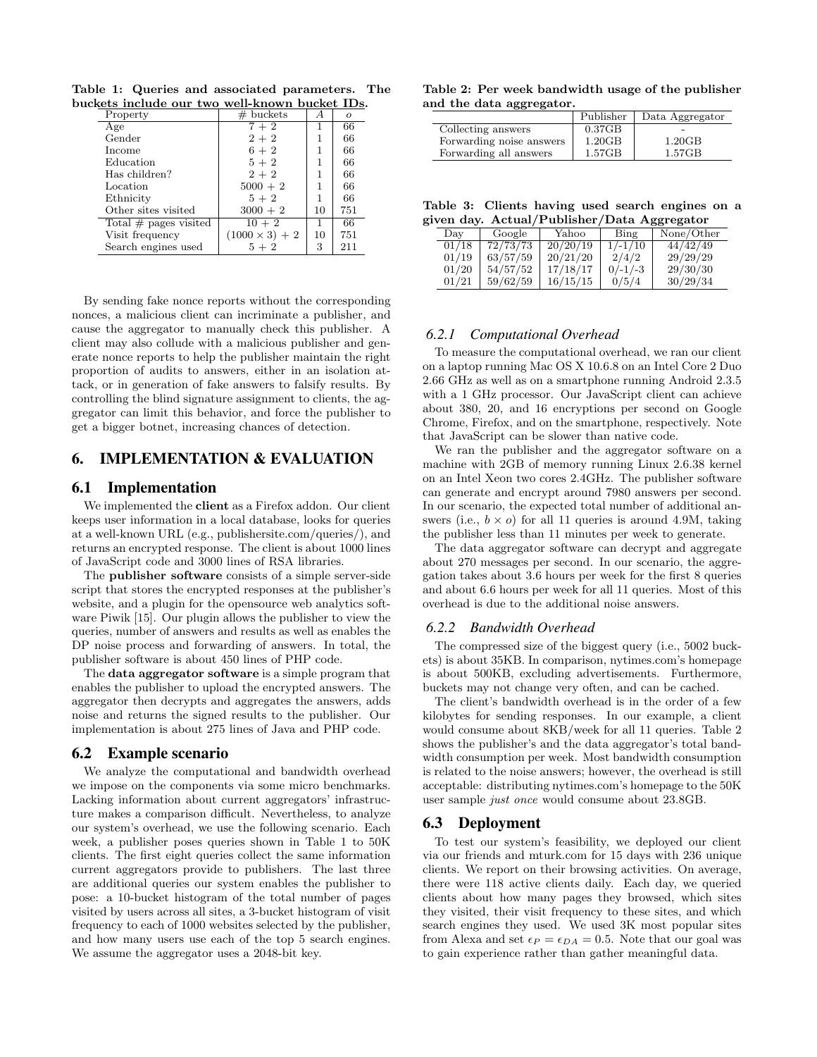Property  $\qquad$   $\qquad$   $\qquad$   $\qquad$   $\qquad$   $\qquad$   $\qquad$   $\qquad$   $\qquad$   $\qquad$   $\qquad$   $\qquad$   $\qquad$   $\qquad$   $\qquad$   $\qquad$   $\qquad$   $\qquad$   $\qquad$   $\qquad$   $\qquad$   $\qquad$   $\qquad$   $\qquad$   $\qquad$   $\qquad$   $\qquad$   $\qquad$   $\qquad$   $\qquad$   $\qquad$   $\qquad$   $\qquad$   $\qquad$   $\qquad$   $\$ Age  $7 + 2$  1 66<br>Gender  $2 + 2$  1 66  $2+2$  1 Income  $6+2$   $1 \n\begin{array}{|l|l|} \n66+2 & 1 \n\end{array}$  66 Education Has children?  $2 + 2$  1 66 Location  $5000 + 2 \begin{array}{c|c} 1 & 66 \\ 5+2 & 1 & 66 \end{array}$ Ethnicity  $5+2$   $1 \n 66$ <br>Other sites visited  $3000+2$   $10 \n 751$ Other sites visited  $3000 + 3000 + 2$ <br>Total # pages visited  $10 + 2$ Total # pages visited  $10 + 2$  1 66 Visit frequency  $(1000 \times 3) + 2 \mid 10 \mid 751$ Search engines used  $5 + 2$   $3 \mid 211$ 

Table 1: Queries and associated parameters. The buckets include our two well-known bucket IDs.

By sending fake nonce reports without the corresponding nonces, a malicious client can incriminate a publisher, and cause the aggregator to manually check this publisher. A client may also collude with a malicious publisher and generate nonce reports to help the publisher maintain the right proportion of audits to answers, either in an isolation attack, or in generation of fake answers to falsify results. By controlling the blind signature assignment to clients, the aggregator can limit this behavior, and force the publisher to get a bigger botnet, increasing chances of detection.

## 6. IMPLEMENTATION & EVALUATION

## 6.1 Implementation

We implemented the **client** as a Firefox addon. Our client keeps user information in a local database, looks for queries at a well-known URL (e.g., publishersite.com/queries/), and returns an encrypted response. The client is about 1000 lines of JavaScript code and 3000 lines of RSA libraries.

The publisher software consists of a simple server-side script that stores the encrypted responses at the publisher's website, and a plugin for the opensource web analytics software Piwik [15]. Our plugin allows the publisher to view the queries, number of answers and results as well as enables the DP noise process and forwarding of answers. In total, the publisher software is about 450 lines of PHP code.

The data aggregator software is a simple program that enables the publisher to upload the encrypted answers. The aggregator then decrypts and aggregates the answers, adds noise and returns the signed results to the publisher. Our implementation is about 275 lines of Java and PHP code.

#### 6.2 Example scenario

We analyze the computational and bandwidth overhead we impose on the components via some micro benchmarks. Lacking information about current aggregators' infrastructure makes a comparison difficult. Nevertheless, to analyze our system's overhead, we use the following scenario. Each week, a publisher poses queries shown in Table 1 to 50K clients. The first eight queries collect the same information current aggregators provide to publishers. The last three are additional queries our system enables the publisher to pose: a 10-bucket histogram of the total number of pages visited by users across all sites, a 3-bucket histogram of visit frequency to each of 1000 websites selected by the publisher, and how many users use each of the top 5 search engines. We assume the aggregator uses a 2048-bit key.

|  |  | Table 2: Per week bandwidth usage of the publisher |  |  |
|--|--|----------------------------------------------------|--|--|
|  |  | and the data aggregator.                           |  |  |

|                          | Publisher | Data Aggregator |  |  |  |
|--------------------------|-----------|-----------------|--|--|--|
| Collecting answers       | 0.37GB    | -               |  |  |  |
| Forwarding noise answers | 1.20GB    | 1.20GB          |  |  |  |
| Forwarding all answers   | 1.57GB    | 1.57GB          |  |  |  |

Table 3: Clients having used search engines on a given day. Actual/Publisher/Data Aggregator

| Day   | Google   | Yahoo    | Bing      | None/Other |
|-------|----------|----------|-----------|------------|
| 01/18 | 72/73/73 | 20/20/19 | $1/-1/10$ | 44/42/49   |
| 01/19 | 63/57/59 | 20/21/20 | 2/4/2     | 29/29/29   |
| 01/20 | 54/57/52 | 17/18/17 | $0/-1/-3$ | 29/30/30   |
| 01/21 | 59/62/59 | 16/15/15 | 0/5/4     | 30/29/34   |

## *6.2.1 Computational Overhead*

To measure the computational overhead, we ran our client on a laptop running Mac OS X 10.6.8 on an Intel Core 2 Duo 2.66 GHz as well as on a smartphone running Android 2.3.5 with a 1 GHz processor. Our JavaScript client can achieve about 380, 20, and 16 encryptions per second on Google Chrome, Firefox, and on the smartphone, respectively. Note that JavaScript can be slower than native code.

We ran the publisher and the aggregator software on a machine with 2GB of memory running Linux 2.6.38 kernel on an Intel Xeon two cores 2.4GHz. The publisher software can generate and encrypt around 7980 answers per second. In our scenario, the expected total number of additional answers (i.e.,  $b \times o$ ) for all 11 queries is around 4.9M, taking the publisher less than 11 minutes per week to generate.

The data aggregator software can decrypt and aggregate about 270 messages per second. In our scenario, the aggregation takes about 3.6 hours per week for the first 8 queries and about 6.6 hours per week for all 11 queries. Most of this overhead is due to the additional noise answers.

#### *6.2.2 Bandwidth Overhead*

The compressed size of the biggest query (i.e., 5002 buckets) is about 35KB. In comparison, nytimes.com's homepage is about 500KB, excluding advertisements. Furthermore, buckets may not change very often, and can be cached.

The client's bandwidth overhead is in the order of a few kilobytes for sending responses. In our example, a client would consume about 8KB/week for all 11 queries. Table 2 shows the publisher's and the data aggregator's total bandwidth consumption per week. Most bandwidth consumption is related to the noise answers; however, the overhead is still acceptable: distributing nytimes.com's homepage to the 50K user sample just once would consume about 23.8GB.

#### 6.3 Deployment

To test our system's feasibility, we deployed our client via our friends and mturk.com for 15 days with 236 unique clients. We report on their browsing activities. On average, there were 118 active clients daily. Each day, we queried clients about how many pages they browsed, which sites they visited, their visit frequency to these sites, and which search engines they used. We used 3K most popular sites from Alexa and set  $\epsilon_P = \epsilon_{DA} = 0.5$ . Note that our goal was to gain experience rather than gather meaningful data.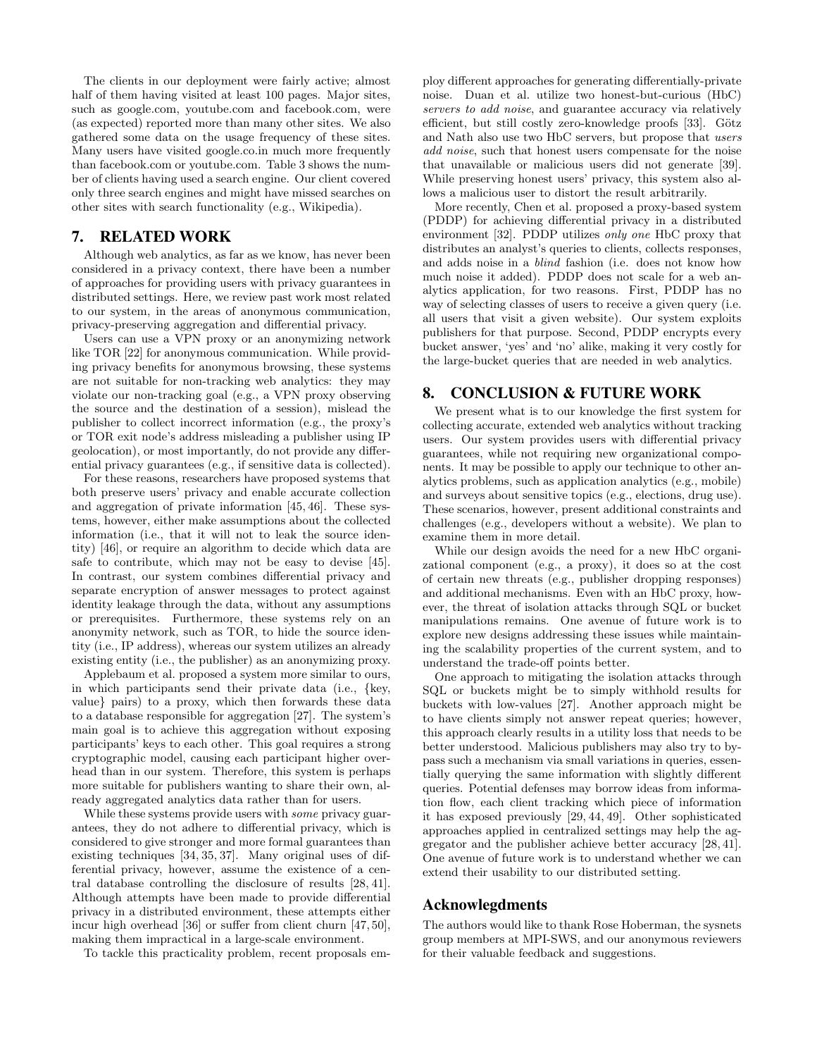The clients in our deployment were fairly active; almost half of them having visited at least 100 pages. Major sites, such as google.com, youtube.com and facebook.com, were (as expected) reported more than many other sites. We also gathered some data on the usage frequency of these sites. Many users have visited google.co.in much more frequently than facebook.com or youtube.com. Table 3 shows the number of clients having used a search engine. Our client covered only three search engines and might have missed searches on other sites with search functionality (e.g., Wikipedia).

## 7. RELATED WORK

Although web analytics, as far as we know, has never been considered in a privacy context, there have been a number of approaches for providing users with privacy guarantees in distributed settings. Here, we review past work most related to our system, in the areas of anonymous communication, privacy-preserving aggregation and differential privacy.

Users can use a VPN proxy or an anonymizing network like TOR [22] for anonymous communication. While providing privacy benefits for anonymous browsing, these systems are not suitable for non-tracking web analytics: they may violate our non-tracking goal (e.g., a VPN proxy observing the source and the destination of a session), mislead the publisher to collect incorrect information (e.g., the proxy's or TOR exit node's address misleading a publisher using IP geolocation), or most importantly, do not provide any differential privacy guarantees (e.g., if sensitive data is collected).

For these reasons, researchers have proposed systems that both preserve users' privacy and enable accurate collection and aggregation of private information [45, 46]. These systems, however, either make assumptions about the collected information (i.e., that it will not to leak the source identity) [46], or require an algorithm to decide which data are safe to contribute, which may not be easy to devise [45]. In contrast, our system combines differential privacy and separate encryption of answer messages to protect against identity leakage through the data, without any assumptions or prerequisites. Furthermore, these systems rely on an anonymity network, such as TOR, to hide the source identity (i.e., IP address), whereas our system utilizes an already existing entity (i.e., the publisher) as an anonymizing proxy.

Applebaum et al. proposed a system more similar to ours, in which participants send their private data (i.e., {key, value} pairs) to a proxy, which then forwards these data to a database responsible for aggregation [27]. The system's main goal is to achieve this aggregation without exposing participants' keys to each other. This goal requires a strong cryptographic model, causing each participant higher overhead than in our system. Therefore, this system is perhaps more suitable for publishers wanting to share their own, already aggregated analytics data rather than for users.

While these systems provide users with *some* privacy guarantees, they do not adhere to differential privacy, which is considered to give stronger and more formal guarantees than existing techniques [34, 35, 37]. Many original uses of differential privacy, however, assume the existence of a central database controlling the disclosure of results [28, 41]. Although attempts have been made to provide differential privacy in a distributed environment, these attempts either incur high overhead [36] or suffer from client churn [47, 50], making them impractical in a large-scale environment.

To tackle this practicality problem, recent proposals em-

ploy different approaches for generating differentially-private noise. Duan et al. utilize two honest-but-curious (HbC) servers to add noise, and guarantee accuracy via relatively efficient, but still costly zero-knowledge proofs [33]. Götz and Nath also use two HbC servers, but propose that users add noise, such that honest users compensate for the noise that unavailable or malicious users did not generate [39]. While preserving honest users' privacy, this system also allows a malicious user to distort the result arbitrarily.

More recently, Chen et al. proposed a proxy-based system (PDDP) for achieving differential privacy in a distributed environment [32]. PDDP utilizes only one HbC proxy that distributes an analyst's queries to clients, collects responses, and adds noise in a blind fashion (i.e. does not know how much noise it added). PDDP does not scale for a web analytics application, for two reasons. First, PDDP has no way of selecting classes of users to receive a given query (i.e. all users that visit a given website). Our system exploits publishers for that purpose. Second, PDDP encrypts every bucket answer, 'yes' and 'no' alike, making it very costly for the large-bucket queries that are needed in web analytics.

## 8. CONCLUSION & FUTURE WORK

We present what is to our knowledge the first system for collecting accurate, extended web analytics without tracking users. Our system provides users with differential privacy guarantees, while not requiring new organizational components. It may be possible to apply our technique to other analytics problems, such as application analytics (e.g., mobile) and surveys about sensitive topics (e.g., elections, drug use). These scenarios, however, present additional constraints and challenges (e.g., developers without a website). We plan to examine them in more detail.

While our design avoids the need for a new HbC organizational component (e.g., a proxy), it does so at the cost of certain new threats (e.g., publisher dropping responses) and additional mechanisms. Even with an HbC proxy, however, the threat of isolation attacks through SQL or bucket manipulations remains. One avenue of future work is to explore new designs addressing these issues while maintaining the scalability properties of the current system, and to understand the trade-off points better.

One approach to mitigating the isolation attacks through SQL or buckets might be to simply withhold results for buckets with low-values [27]. Another approach might be to have clients simply not answer repeat queries; however, this approach clearly results in a utility loss that needs to be better understood. Malicious publishers may also try to bypass such a mechanism via small variations in queries, essentially querying the same information with slightly different queries. Potential defenses may borrow ideas from information flow, each client tracking which piece of information it has exposed previously [29, 44, 49]. Other sophisticated approaches applied in centralized settings may help the aggregator and the publisher achieve better accuracy [28, 41]. One avenue of future work is to understand whether we can extend their usability to our distributed setting.

#### Acknowlegdments

The authors would like to thank Rose Hoberman, the sysnets group members at MPI-SWS, and our anonymous reviewers for their valuable feedback and suggestions.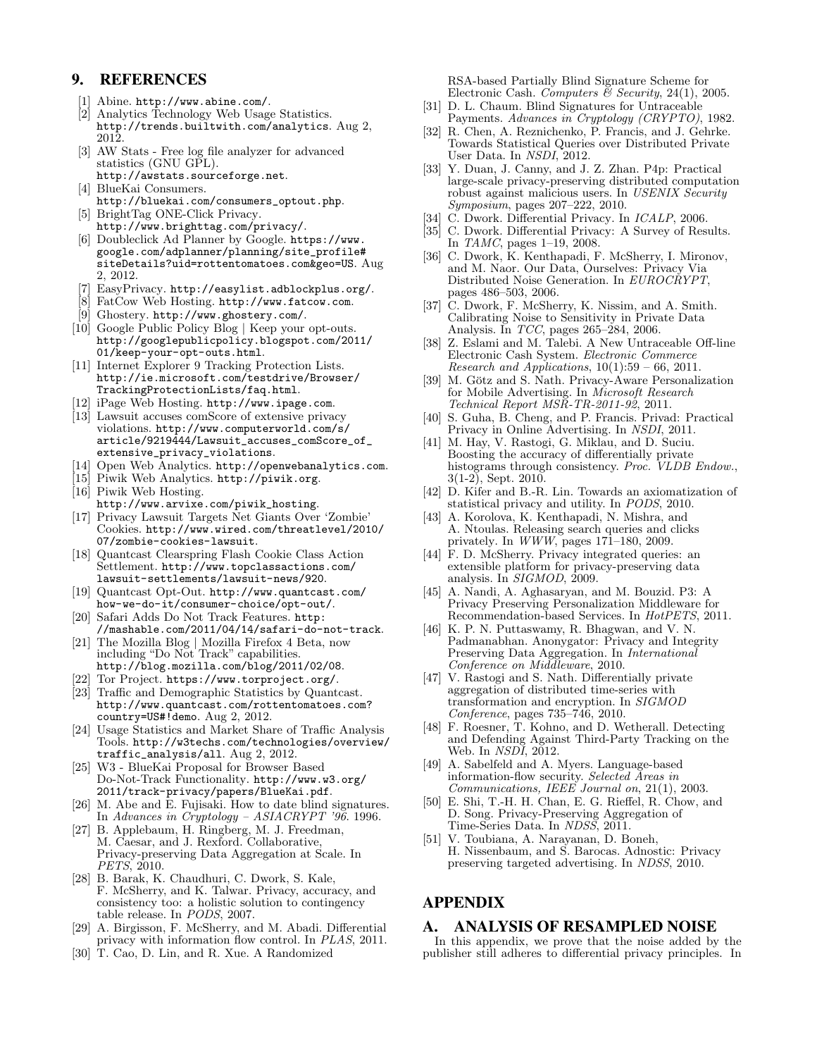## 9. REFERENCES

- [1] Abine. http://www.abine.com/.
- [2] Analytics Technology Web Usage Statistics. http://trends.builtwith.com/analytics. Aug 2, 2012.
- [3] AW Stats Free log file analyzer for advanced statistics (GNU GPL).
- http://awstats.sourceforge.net. [4] BlueKai Consumers.
- http://bluekai.com/consumers\_optout.php. [5] BrightTag ONE-Click Privacy.
- http://www.brighttag.com/privacy/. [6] Doubleclick Ad Planner by Google. https://www. google.com/adplanner/planning/site\_profile# siteDetails?uid=rottentomatoes.com&geo=US. Aug
- 2, 2012.
- [7] EasyPrivacy. http://easylist.adblockplus.org/.
- [8] FatCow Web Hosting. http://www.fatcow.com.
- [9] Ghostery. http://www.ghostery.com/.
- [10] Google Public Policy Blog | Keep your opt-outs. http://googlepublicpolicy.blogspot.com/2011/ 01/keep-your-opt-outs.html.
- [11] Internet Explorer 9 Tracking Protection Lists. http://ie.microsoft.com/testdrive/Browser/ TrackingProtectionLists/faq.html.
- [12] iPage Web Hosting. http://www.ipage.com.
- [13] Lawsuit accuses comScore of extensive privacy violations. http://www.computerworld.com/s/ article/9219444/Lawsuit\_accuses\_comScore\_of\_ extensive\_privacy\_violations.
- [14] Open Web Analytics. http://openwebanalytics.com.
- [15] Piwik Web Analytics. http://piwik.org.

[16] Piwik Web Hosting. http://www.arvixe.com/piwik\_hosting.

- [17] Privacy Lawsuit Targets Net Giants Over 'Zombie' Cookies. http://www.wired.com/threatlevel/2010/ 07/zombie-cookies-lawsuit.
- [18] Quantcast Clearspring Flash Cookie Class Action Settlement. http://www.topclassactions.com/ lawsuit-settlements/lawsuit-news/920.
- [19] Quantcast Opt-Out. http://www.quantcast.com/ how-we-do-it/consumer-choice/opt-out/.
- [20] Safari Adds Do Not Track Features. http: //mashable.com/2011/04/14/safari-do-not-track.
- [21] The Mozilla Blog | Mozilla Firefox 4 Beta, now including "Do Not Track" capabilities. http://blog.mozilla.com/blog/2011/02/08.
- [22] Tor Project. https://www.torproject.org/.
- [23] Traffic and Demographic Statistics by Quantcast. http://www.quantcast.com/rottentomatoes.com? country=US#!demo. Aug 2, 2012.
- [24] Usage Statistics and Market Share of Traffic Analysis Tools. http://w3techs.com/technologies/overview/ traffic\_analysis/all. Aug 2, 2012.
- [25] W3 BlueKai Proposal for Browser Based Do-Not-Track Functionality. http://www.w3.org/ 2011/track-privacy/papers/BlueKai.pdf.
- [26] M. Abe and E. Fujisaki. How to date blind signatures. In Advances in Cryptology – ASIACRYPT '96. 1996.
- [27] B. Applebaum, H. Ringberg, M. J. Freedman, M. Caesar, and J. Rexford. Collaborative, Privacy-preserving Data Aggregation at Scale. In PETS, 2010.
- [28] B. Barak, K. Chaudhuri, C. Dwork, S. Kale, F. McSherry, and K. Talwar. Privacy, accuracy, and consistency too: a holistic solution to contingency table release. In PODS, 2007.
- [29] A. Birgisson, F. McSherry, and M. Abadi. Differential privacy with information flow control. In PLAS, 2011.
- [30] T. Cao, D. Lin, and R. Xue. A Randomized

RSA-based Partially Blind Signature Scheme for Electronic Cash. Computers & Security, 24(1), 2005.

- [31] D. L. Chaum. Blind Signatures for Untraceable Payments. Advances in Cryptology (CRYPTO), 1982.
- [32] R. Chen, A. Reznichenko, P. Francis, and J. Gehrke. Towards Statistical Queries over Distributed Private User Data. In NSDI, 2012.
- [33] Y. Duan, J. Canny, and J. Z. Zhan. P4p: Practical large-scale privacy-preserving distributed computation robust against malicious users. In USENIX Security Symposium, pages 207–222, 2010.
- C. Dwork. Differential Privacy. In *ICALP*, 2006.
- [35] C. Dwork. Differential Privacy: A Survey of Results. In TAMC, pages 1–19, 2008.
- [36] C. Dwork, K. Kenthapadi, F. McSherry, I. Mironov, and M. Naor. Our Data, Ourselves: Privacy Via Distributed Noise Generation. In EUROCRYPT, pages 486–503, 2006.
- [37] C. Dwork, F. McSherry, K. Nissim, and A. Smith. Calibrating Noise to Sensitivity in Private Data Analysis. In TCC, pages 265–284, 2006.
- [38] Z. Eslami and M. Talebi. A New Untraceable Off-line Electronic Cash System. Electronic Commerce Research and Applications,  $10(1):59-66$ , 2011.
- [39] M. Götz and S. Nath. Privacy-Aware Personalization for Mobile Advertising. In Microsoft Research Technical Report MSR-TR-2011-92, 2011.
- [40] S. Guha, B. Cheng, and P. Francis. Privad: Practical Privacy in Online Advertising. In NSDI, 2011.
- [41] M. Hay, V. Rastogi, G. Miklau, and D. Suciu. Boosting the accuracy of differentially private histograms through consistency. Proc. VLDB Endow., 3(1-2), Sept. 2010.
- [42] D. Kifer and B.-R. Lin. Towards an axiomatization of statistical privacy and utility. In PODS, 2010.
- [43] A. Korolova, K. Kenthapadi, N. Mishra, and A. Ntoulas. Releasing search queries and clicks privately. In WWW, pages 171–180, 2009.
- [44] F. D. McSherry. Privacy integrated queries: an extensible platform for privacy-preserving data analysis. In SIGMOD, 2009.
- [45] A. Nandi, A. Aghasaryan, and M. Bouzid. P3: A Privacy Preserving Personalization Middleware for Recommendation-based Services. In HotPETS, 2011.
- [46] K. P. N. Puttaswamy, R. Bhagwan, and V. N. Padmanabhan. Anonygator: Privacy and Integrity Preserving Data Aggregation. In International Conference on Middleware, 2010.
- [47] V. Rastogi and S. Nath. Differentially private aggregation of distributed time-series with transformation and encryption. In SIGMOD Conference, pages 735–746, 2010.
- [48] F. Roesner, T. Kohno, and D. Wetherall. Detecting and Defending Against Third-Party Tracking on the Web. In NSDI, 2012.
- [49] A. Sabelfeld and A. Myers. Language-based information-flow security. Selected Areas in Communications, IEEE Journal on, 21(1), 2003.
- [50] E. Shi, T.-H. H. Chan, E. G. Rieffel, R. Chow, and D. Song. Privacy-Preserving Aggregation of Time-Series Data. In NDSS, 2011.
- [51] V. Toubiana, A. Narayanan, D. Boneh, H. Nissenbaum, and S. Barocas. Adnostic: Privacy preserving targeted advertising. In NDSS, 2010.

## APPENDIX

## A. ANALYSIS OF RESAMPLED NOISE

In this appendix, we prove that the noise added by the publisher still adheres to differential privacy principles. In